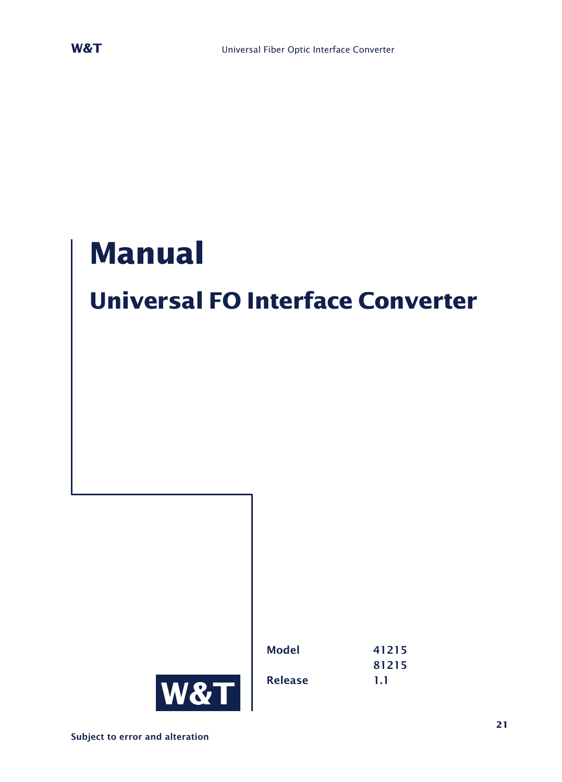# **Manual**

# **Universal FO Interface Converter**



| Model          | 41215 |
|----------------|-------|
|                | 81215 |
| <b>Release</b> | Ы     |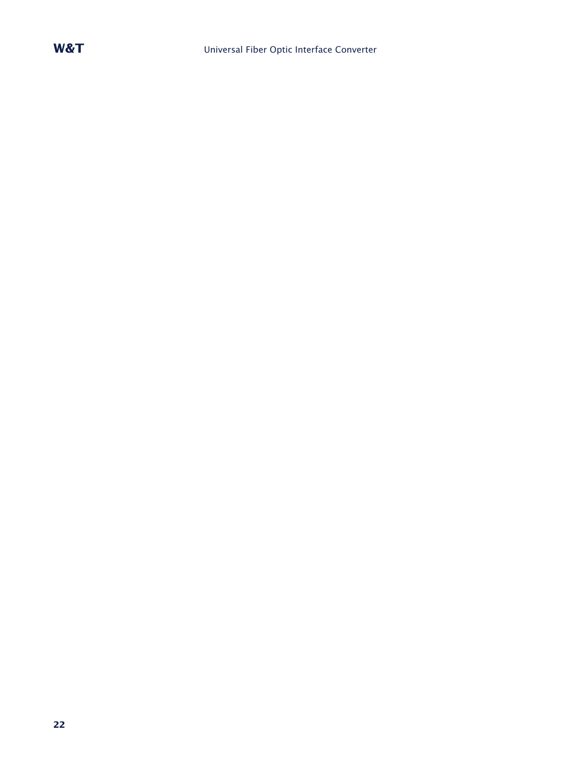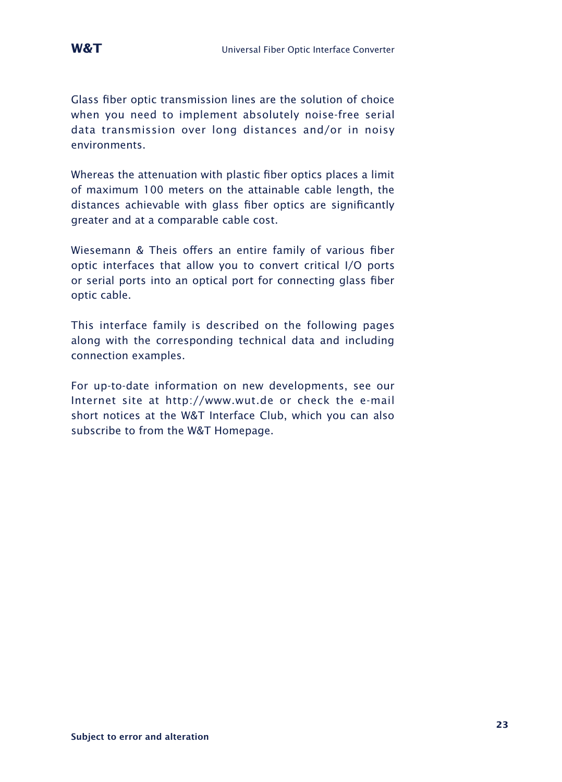Glass fiber optic transmission lines are the solution of choice when you need to implement absolutely noise-free serial data transmission over long distances and/or in noisy environments.

Whereas the attenuation with plastic fiber optics places a limit of maximum 100 meters on the attainable cable length, the distances achievable with glass fiber optics are significantly greater and at a comparable cable cost.

Wiesemann & Theis offers an entire family of various fiber optic interfaces that allow you to convert critical I/O ports or serial ports into an optical port for connecting glass fiber optic cable.

This interface family is described on the following pages along with the corresponding technical data and including connection examples.

For up-to-date information on new developments, see our Internet site at http://www.wut.de or check the e-mail short notices at the W&T Interface Club, which you can also subscribe to from the W&T Homepage.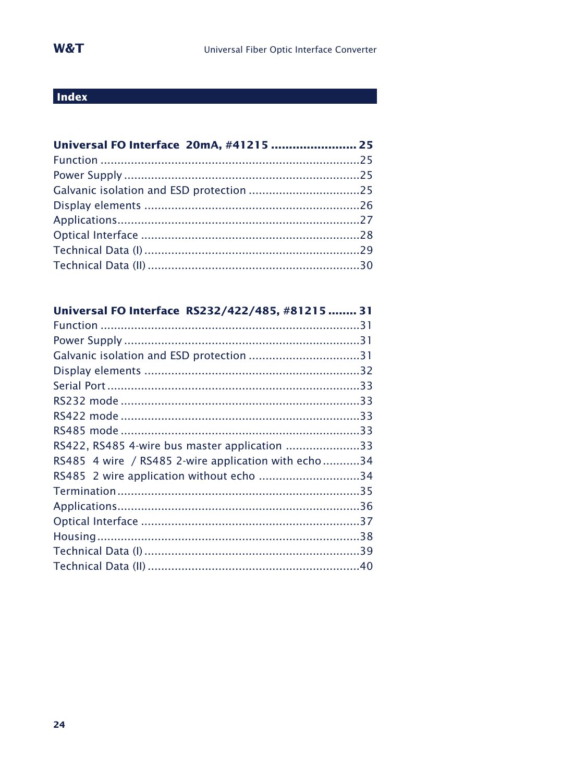# Index

| Universal FO Interface 20mA, #41215  25 |  |
|-----------------------------------------|--|
|                                         |  |
|                                         |  |
|                                         |  |
|                                         |  |
|                                         |  |
|                                         |  |
|                                         |  |
|                                         |  |

| Universal FO Interface RS232/422/485, #81215  31    |  |
|-----------------------------------------------------|--|
|                                                     |  |
|                                                     |  |
| Galvanic isolation and ESD protection 31            |  |
|                                                     |  |
|                                                     |  |
|                                                     |  |
|                                                     |  |
|                                                     |  |
| RS422, RS485 4-wire bus master application 33       |  |
| RS485 4 wire / RS485 2-wire application with echo34 |  |
| RS485 2 wire application without echo 34            |  |
|                                                     |  |
|                                                     |  |
|                                                     |  |
|                                                     |  |
|                                                     |  |
|                                                     |  |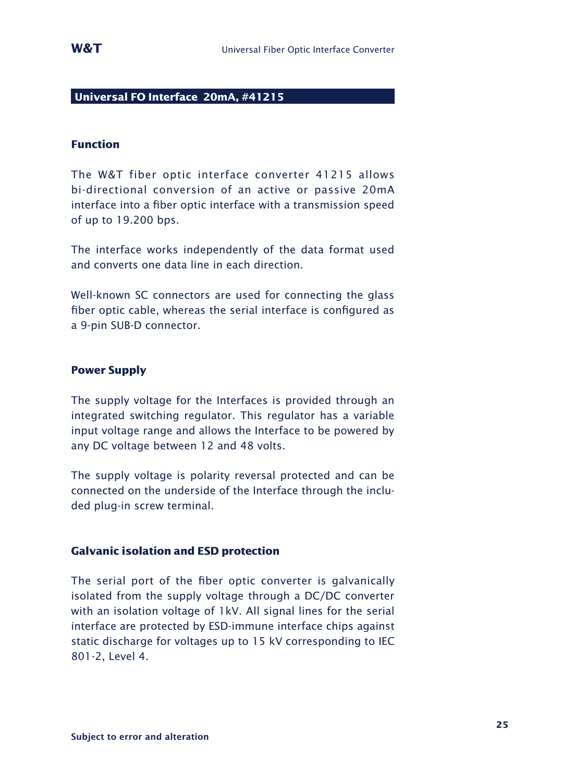# **Universal FO Interface 20mA, #41215**

#### **Function**

The W&T fiber optic interface converter 41215 allows bi-directional conversion of an active or passive 20mA interface into a fiber optic interface with a transmission speed of up to 19.200 bps.

The interface works independently of the data format used and converts one data line in each direction.

Well-known SC connectors are used for connecting the glass fiber optic cable, whereas the serial interface is configured as a 9-pin SUB-D connector.

#### **Power Supply**

The supply voltage for the Interfaces is provided through an integrated switching regulator. This regulator has a variable input voltage range and allows the Interface to be powered by any DC voltage between 12 and 48 volts.

The supply voltage is polarity reversal protected and can be connected on the underside of the Interface through the included plug-in screw terminal.

#### **Galvanic isolation and ESD protection**

The serial port of the fiber optic converter is galvanically isolated from the supply voltage through a DC/DC converter with an isolation voltage of 1kV. All signal lines for the serial interface are protected by ESD-immune interface chips against static discharge for voltages up to 15 kV corresponding to IEC 801-2, Level 4.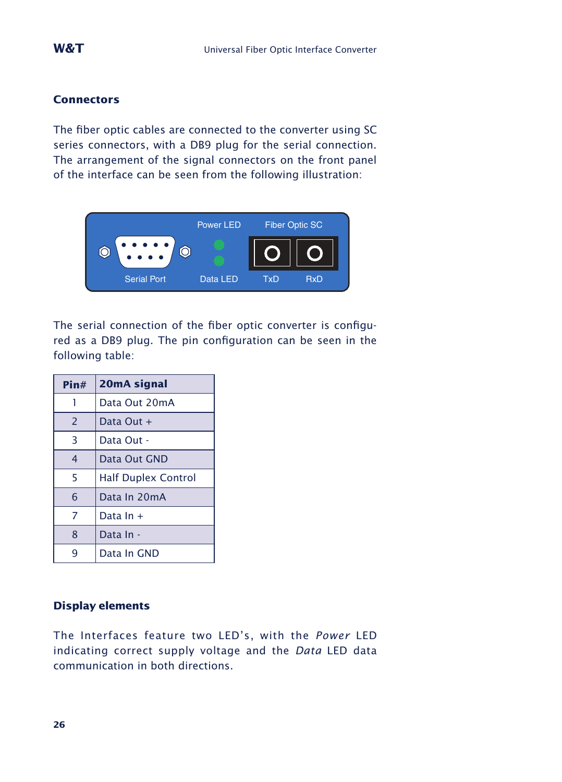#### **Connectors**

The fiber optic cables are connected to the converter using SC series connectors, with a DB9 plug for the serial connection. The arrangement of the signal connectors on the front panel of the interface can be seen from the following illustration:



The serial connection of the fiber optic converter is configured as a DB9 plug. The pin configuration can be seen in the following table:

| Pin#           | 20mA signal                |
|----------------|----------------------------|
|                | Data Out 20mA              |
| $\overline{2}$ | Data Out +                 |
| 3              | Data Out -                 |
| $\overline{4}$ | Data Out GND               |
| 5              | <b>Half Duplex Control</b> |
| 6              | Data In 20mA               |
| 7              | Data $ln +$                |
| 8              | Data In -                  |
|                | Data In GND                |

#### **Display elements**

The Interfaces feature two LED's, with the *Power* LED indicating correct supply voltage and the *Data* LED data communication in both directions.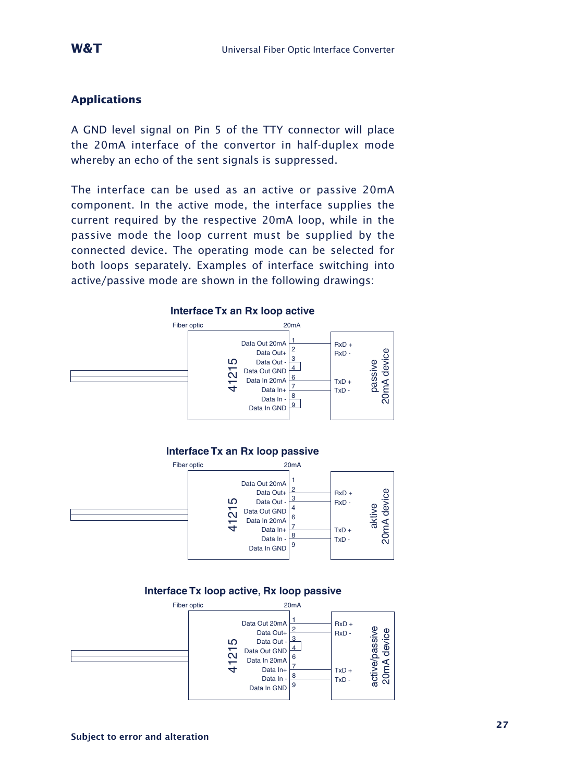### **Applications**

A GND level signal on Pin 5 of the TTY connector will place the 20mA interface of the convertor in half-duplex mode whereby an echo of the sent signals is suppressed.

The interface can be used as an active or passive 20mA component. In the active mode, the interface supplies the current required by the respective 20mA loop, while in the passive mode the loop current must be supplied by the connected device. The operating mode can be selected for both loops separately. Examples of interface switching into active/passive mode are shown in the following drawings:



#### **Interface Tx loop active, Rx loop passive**

Data In GND

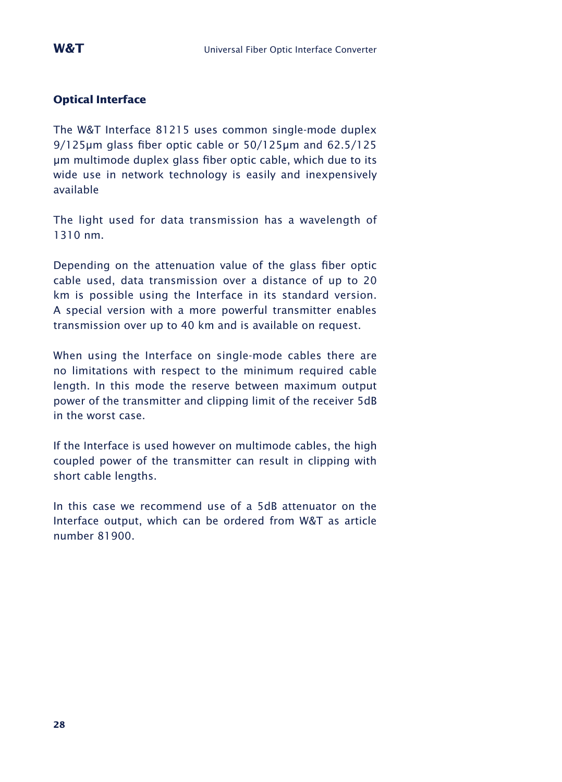# **Optical Interface**

The W&T Interface 81215 uses common single-mode duplex 9/125µm glass fiber optic cable or 50/125µm and 62.5/125 µm multimode duplex glass fiber optic cable, which due to its wide use in network technology is easily and inexpensively available

The light used for data transmission has a wavelength of 1310 nm.

Depending on the attenuation value of the glass fiber optic cable used, data transmission over a distance of up to 20 km is possible using the Interface in its standard version. A special version with a more powerful transmitter enables transmission over up to 40 km and is available on request.

When using the Interface on single-mode cables there are no limitations with respect to the minimum required cable length. In this mode the reserve between maximum output power of the transmitter and clipping limit of the receiver 5dB in the worst case.

If the Interface is used however on multimode cables, the high coupled power of the transmitter can result in clipping with short cable lengths.

In this case we recommend use of a 5dB attenuator on the Interface output, which can be ordered from W&T as article number 81900.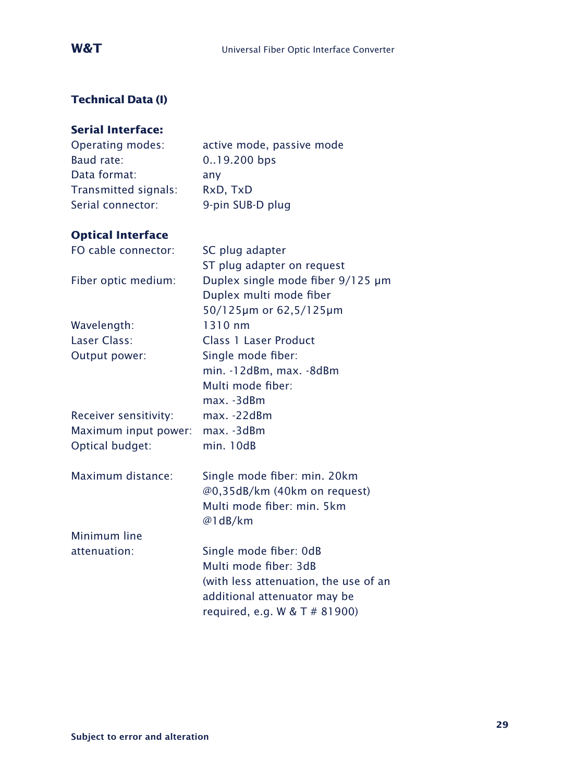# **Technical Data (I)**

# **Serial Interface:**

| active mode, passive mode |
|---------------------------|
| $0.19.200$ bps            |
| any                       |
| RxD. TxD                  |
| 9-pin SUB-D plug          |
|                           |

# **Optical Interface**

| <b>Optical Interiate</b> |                                       |
|--------------------------|---------------------------------------|
| FO cable connector:      | SC plug adapter                       |
|                          | ST plug adapter on request            |
| Fiber optic medium:      | Duplex single mode fiber 9/125 µm     |
|                          | Duplex multi mode fiber               |
|                          | 50/125µm or 62,5/125µm                |
| Wavelength:              | 1310 nm                               |
| Laser Class:             | Class 1 Laser Product                 |
| Output power:            | Single mode fiber:                    |
|                          | min. -12dBm, max. -8dBm               |
|                          | Multi mode fiber:                     |
|                          | $max. -3dBm$                          |
| Receiver sensitivity:    | $max. -22dBm$                         |
| Maximum input power:     | $max. -3dBm$                          |
| Optical budget:          | min. 10dB                             |
| Maximum distance:        | Single mode fiber: min. 20km          |
|                          | @0,35dB/km (40km on request)          |
|                          | Multi mode fiber: min. 5km<br>@1dB/km |
| Minimum line             |                                       |
| attenuation:             | Single mode fiber: 0dB                |
|                          | Multi mode fiber: 3dB                 |
|                          | (with less attenuation, the use of an |
|                          | additional attenuator may be          |
|                          | required, e.g. W & T # 81900)         |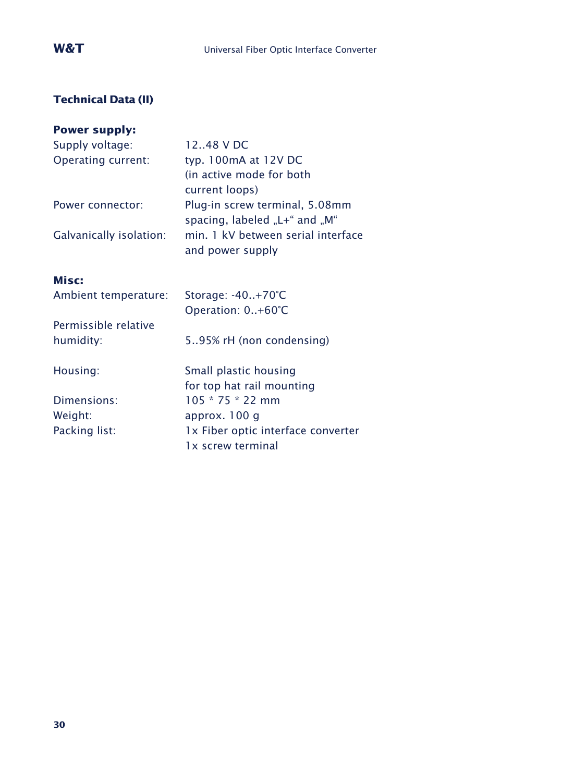# **Technical Data (II)**

| <b>Power supply:</b>    |                                                                 |
|-------------------------|-----------------------------------------------------------------|
| Supply voltage:         | 12.48 V DC                                                      |
| Operating current:      | typ. 100mA at 12V DC                                            |
|                         | (in active mode for both                                        |
|                         | current loops)                                                  |
| Power connector:        | Plug-in screw terminal, 5.08mm<br>spacing, labeled "L+" and "M" |
| Galvanically isolation: | min. 1 kV between serial interface                              |
|                         | and power supply                                                |
|                         |                                                                 |
| Misc:                   |                                                                 |
| Ambient temperature:    | Storage: $-40.+70^{\circ}C$                                     |
|                         | Operation: 0+60°C                                               |
| Permissible relative    |                                                                 |
| humidity:               | 595% rH (non condensing)                                        |
|                         |                                                                 |
| Housing:                | Small plastic housing                                           |
|                         | for top hat rail mounting                                       |
| Dimensions:             | $105 * 75 * 22$ mm                                              |
| Weight:                 | approx. 100 q                                                   |
| Packing list:           | 1x Fiber optic interface converter                              |
|                         | 1x screw terminal                                               |
|                         |                                                                 |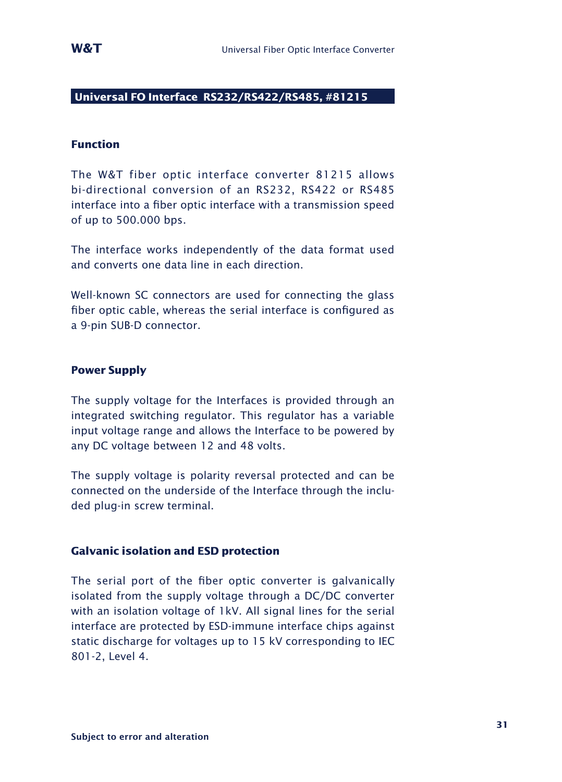### **Universal FO Interface RS232/RS422/RS485, #81215**

#### **Function**

The W&T fiber optic interface converter 81215 allows bi-directional conversion of an RS232, RS422 or RS485 interface into a fiber optic interface with a transmission speed of up to 500.000 bps.

The interface works independently of the data format used and converts one data line in each direction.

Well-known SC connectors are used for connecting the glass fiber optic cable, whereas the serial interface is configured as a 9-pin SUB-D connector.

#### **Power Supply**

The supply voltage for the Interfaces is provided through an integrated switching regulator. This regulator has a variable input voltage range and allows the Interface to be powered by any DC voltage between 12 and 48 volts.

The supply voltage is polarity reversal protected and can be connected on the underside of the Interface through the included plug-in screw terminal.

#### **Galvanic isolation and ESD protection**

The serial port of the fiber optic converter is galvanically isolated from the supply voltage through a DC/DC converter with an isolation voltage of 1kV. All signal lines for the serial interface are protected by ESD-immune interface chips against static discharge for voltages up to 15 kV corresponding to IEC 801-2, Level 4.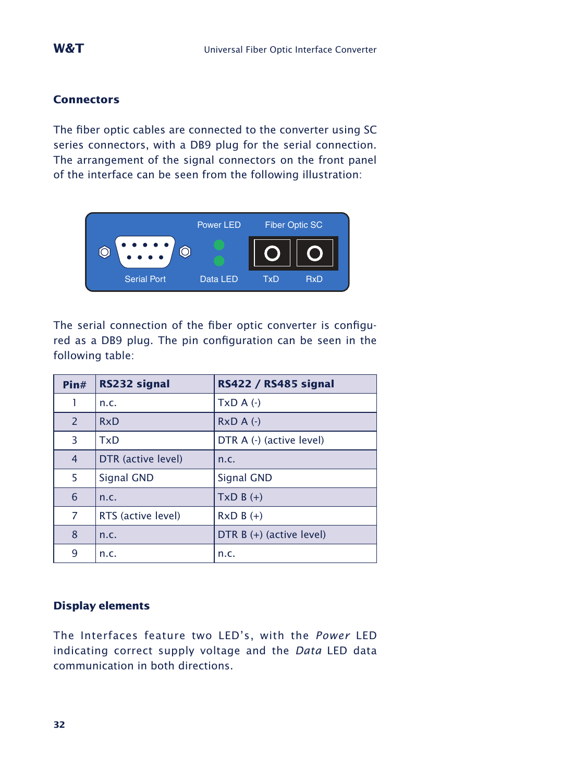#### **Connectors**

The fiber optic cables are connected to the converter using SC series connectors, with a DB9 plug for the serial connection. The arrangement of the signal connectors on the front panel of the interface can be seen from the following illustration:



The serial connection of the fiber optic converter is configured as a DB9 plug. The pin configuration can be seen in the following table:

| $P$ in#        | RS232 signal       | <b>RS422 / RS485 signal</b> |
|----------------|--------------------|-----------------------------|
| 1              | n.c.               | $TxD A$ $(-)$               |
| 2              | <b>RxD</b>         | $RxDA$ (-)                  |
| 3              | TxD                | DTR A (-) (active level)    |
| $\overline{4}$ | DTR (active level) | n.c.                        |
| 5              | <b>Signal GND</b>  | <b>Signal GND</b>           |
| 6              | n.c.               | $TxD B (+)$                 |
| $\overline{7}$ | RTS (active level) | $RxDB (+)$                  |
| 8              | n.c.               | DTR $B (+)$ (active level)  |
| 9              | n.c.               | n.c.                        |

#### **Display elements**

The Interfaces feature two LED's, with the *Power* LED indicating correct supply voltage and the *Data* LED data communication in both directions.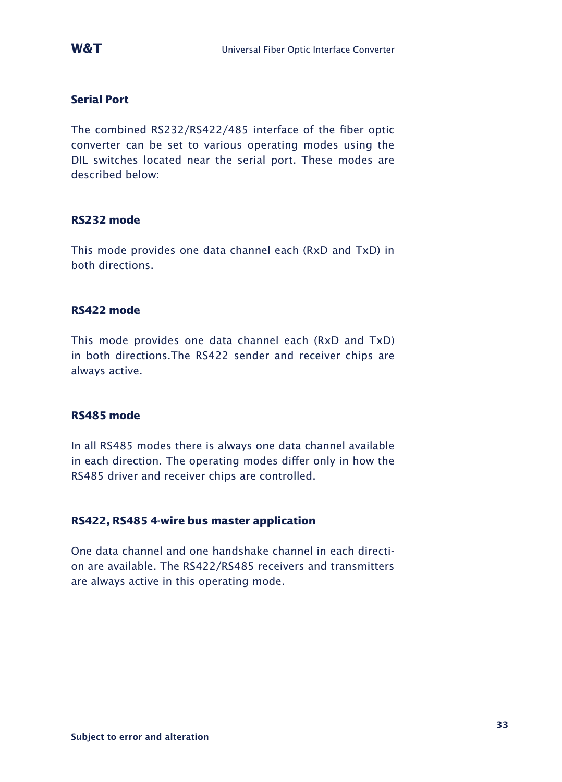#### **Serial Port**

The combined RS232/RS422/485 interface of the fiber optic converter can be set to various operating modes using the DIL switches located near the serial port. These modes are described below:

#### **RS232 mode**

This mode provides one data channel each (RxD and TxD) in both directions.

#### **RS422 mode**

This mode provides one data channel each (RxD and TxD) in both directions.The RS422 sender and receiver chips are always active.

#### **RS485 mode**

In all RS485 modes there is always one data channel available in each direction. The operating modes differ only in how the RS485 driver and receiver chips are controlled.

#### **RS422, RS485 4-wire bus master application**

One data channel and one handshake channel in each direction are available. The RS422/RS485 receivers and transmitters are always active in this operating mode.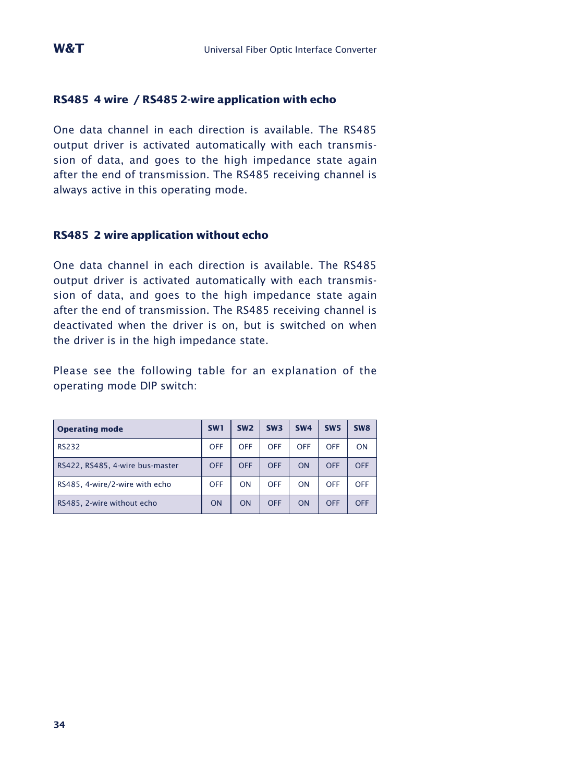#### **RS485 4 wire / RS485 2-wire application with echo**

One data channel in each direction is available. The RS485 output driver is activated automatically with each transmission of data, and goes to the high impedance state again after the end of transmission. The RS485 receiving channel is always active in this operating mode.

#### **RS485 2 wire application without echo**

One data channel in each direction is available. The RS485 output driver is activated automatically with each transmission of data, and goes to the high impedance state again after the end of transmission. The RS485 receiving channel is deactivated when the driver is on, but is switched on when the driver is in the high impedance state.

Please see the following table for an explanation of the operating mode DIP switch:

| <b>Operating mode</b>           | SW <sub>1</sub> | SW <sub>2</sub> | SW3        | <b>SW4</b> | SW <sub>5</sub> | SW <sub>8</sub> |
|---------------------------------|-----------------|-----------------|------------|------------|-----------------|-----------------|
| <b>RS232</b>                    | <b>OFF</b>      | OFF             | OFF        | OFF        | <b>OFF</b>      | <b>ON</b>       |
| RS422, RS485, 4-wire bus-master | <b>OFF</b>      | <b>OFF</b>      | <b>OFF</b> | ON         | <b>OFF</b>      | <b>OFF</b>      |
| RS485, 4-wire/2-wire with echo  | <b>OFF</b>      | ON              | OFF        | ON         | <b>OFF</b>      | OFF             |
| RS485, 2-wire without echo      | <b>ON</b>       | ON              | <b>OFF</b> | <b>ON</b>  | <b>OFF</b>      | <b>OFF</b>      |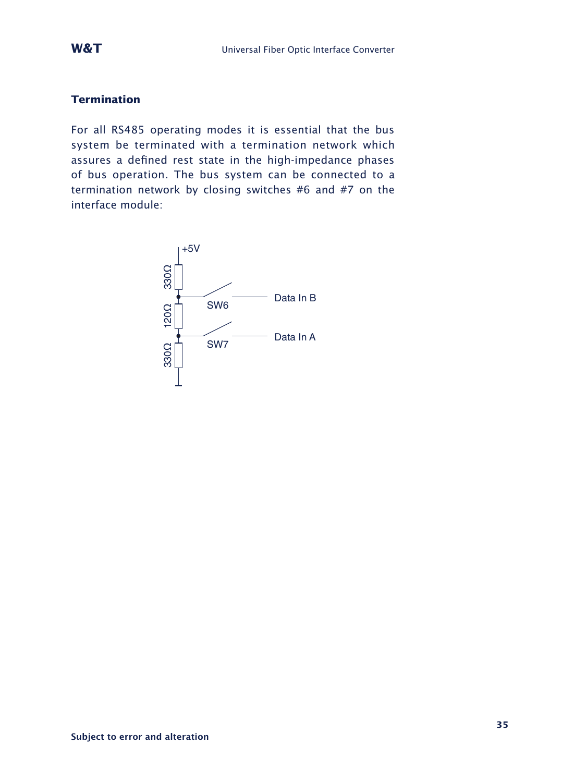### **Termination**

For all RS485 operating modes it is essential that the bus system be terminated with a termination network which assures a defined rest state in the high-impedance phases of bus operation. The bus system can be connected to a termination network by closing switches #6 and #7 on the interface module:

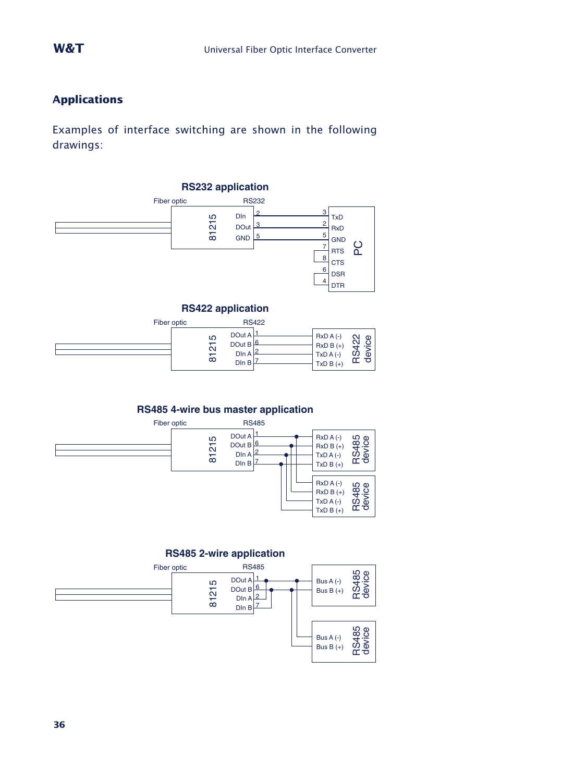# **Applications**

Examples of interface switching are shown in the following drawings:



#### **RS422 application**



#### **RS485 4-wire bus master application**







**36**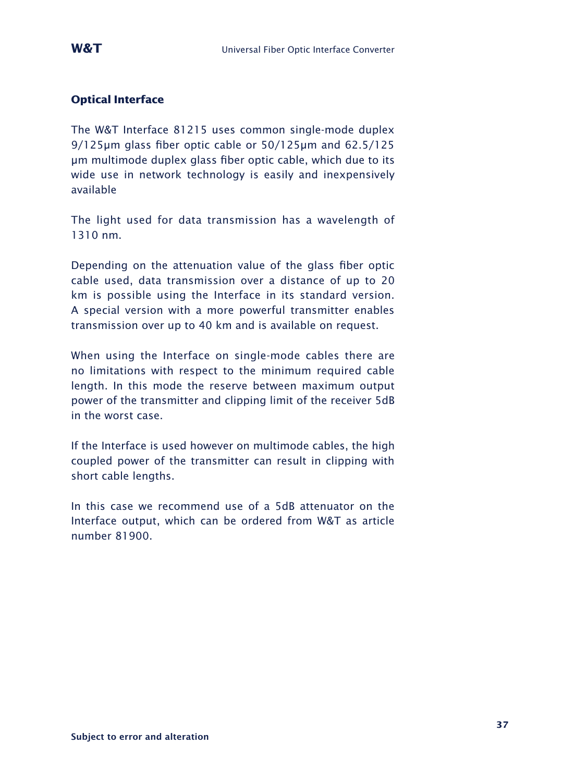### **Optical Interface**

The W&T Interface 81215 uses common single-mode duplex 9/125µm glass fiber optic cable or 50/125µm and 62.5/125 µm multimode duplex glass fiber optic cable, which due to its wide use in network technology is easily and inexpensively available

The light used for data transmission has a wavelength of 1310 nm.

Depending on the attenuation value of the glass fiber optic cable used, data transmission over a distance of up to 20 km is possible using the Interface in its standard version. A special version with a more powerful transmitter enables transmission over up to 40 km and is available on request.

When using the Interface on single-mode cables there are no limitations with respect to the minimum required cable length. In this mode the reserve between maximum output power of the transmitter and clipping limit of the receiver 5dB in the worst case.

If the Interface is used however on multimode cables, the high coupled power of the transmitter can result in clipping with short cable lengths.

In this case we recommend use of a 5dB attenuator on the Interface output, which can be ordered from W&T as article number 81900.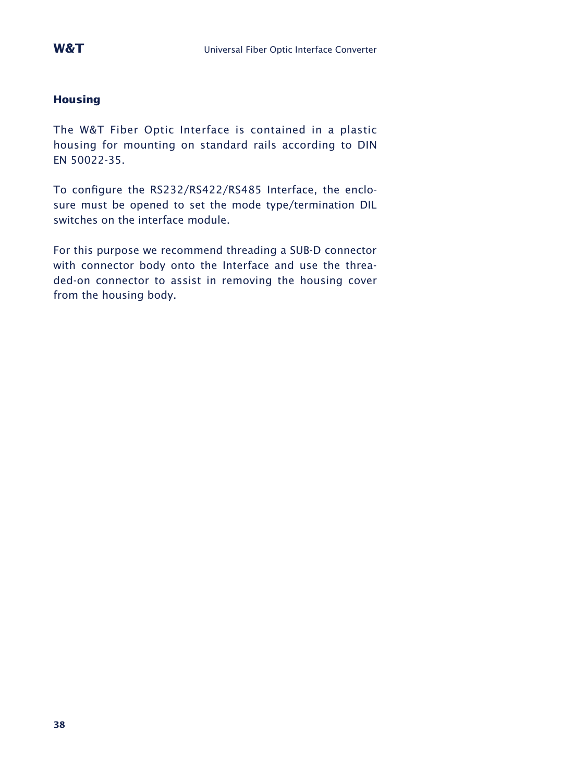#### **Housing**

The W&T Fiber Optic Interface is contained in a plastic housing for mounting on standard rails according to DIN EN 50022-35.

To configure the RS232/RS422/RS485 Interface, the enclosure must be opened to set the mode type/termination DIL switches on the interface module.

For this purpose we recommend threading a SUB-D connector with connector body onto the Interface and use the threaded-on connector to assist in removing the housing cover from the housing body.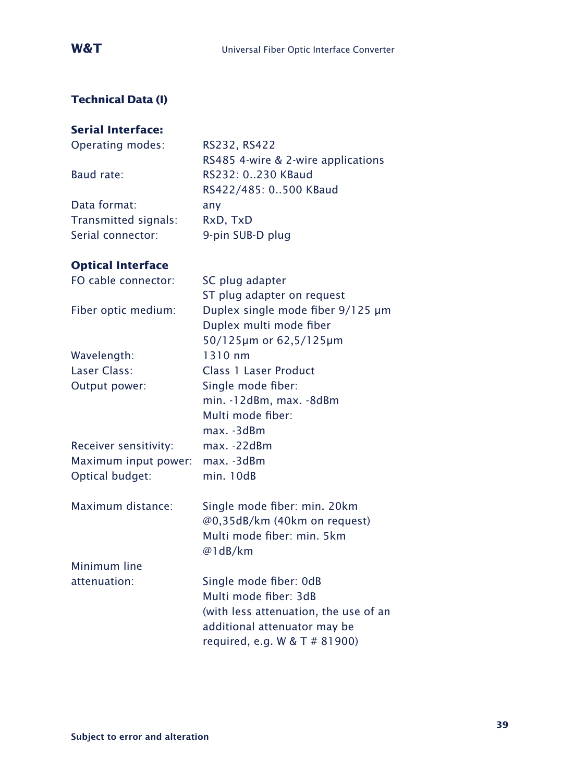

# **Technical Data (I)**

# **Serial Interface:**

| ----------------     |                                    |
|----------------------|------------------------------------|
| Operating modes:     | RS232, RS422                       |
|                      | RS485 4-wire & 2-wire applications |
| Baud rate:           | RS232: 0230 KBaud                  |
|                      | RS422/485: 0500 KBaud              |
| Data format:         | any                                |
| Transmitted signals: | RxD, TxD                           |
| Serial connector:    | 9-pin SUB-D plug                   |
|                      |                                    |

# **Optical Interface**

| FO cable connector:   | SC plug adapter                       |
|-----------------------|---------------------------------------|
|                       | ST plug adapter on request            |
| Fiber optic medium:   | Duplex single mode fiber 9/125 µm     |
|                       | Duplex multi mode fiber               |
|                       | 50/125µm or 62,5/125µm                |
| Wavelength:           | 1310 nm                               |
| Laser Class:          | <b>Class 1 Laser Product</b>          |
| Output power:         | Single mode fiber:                    |
|                       | min. -12dBm, max. -8dBm               |
|                       | Multi mode fiber:                     |
|                       | max. -3dBm                            |
| Receiver sensitivity: | $max. -22dBm$                         |
| Maximum input power:  | $max. -3dBm$                          |
| Optical budget:       | min. 10dB                             |
| Maximum distance:     | Single mode fiber: min. 20km          |
|                       | @0,35dB/km (40km on request)          |
|                       | Multi mode fiber: min. 5km            |
|                       | @1dB/km                               |
| Minimum line          |                                       |
| attenuation:          | Single mode fiber: OdB                |
|                       | Multi mode fiber: 3dB                 |
|                       | (with less attenuation, the use of an |
|                       | additional attenuator may be          |
|                       | required, e.g. W & T # 81900)         |